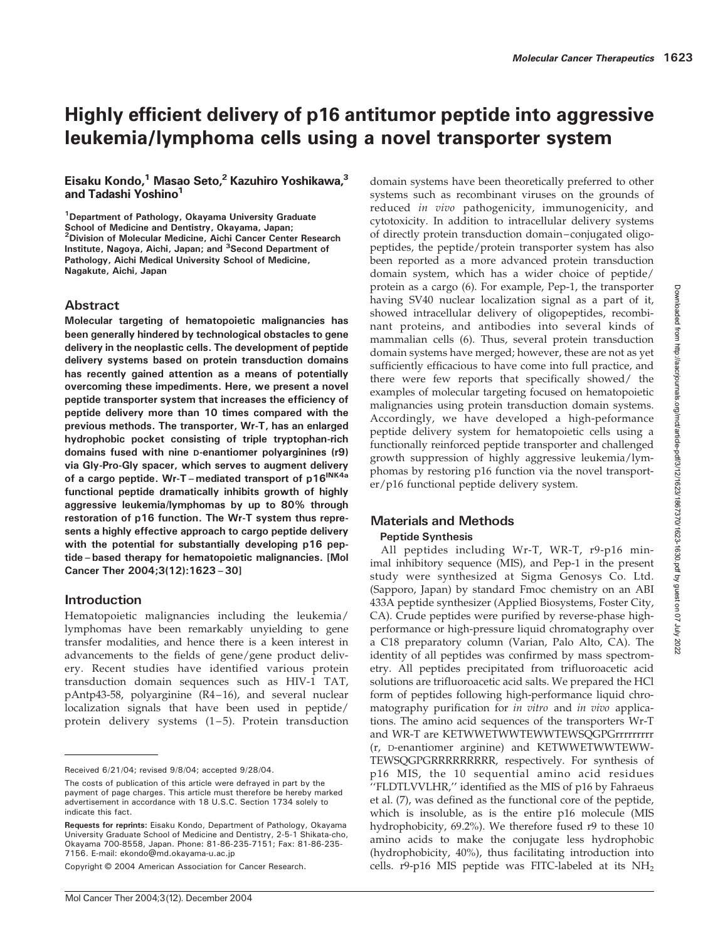# Highly efficient delivery of p16 antitumor peptide into aggressive leukemia/lymphoma cells using a novel transporter system

# Eisaku Kondo,<sup>1</sup> Masao Seto,<sup>2</sup> Kazuhiro Yoshikawa,<sup>3</sup> and Tadashi Yoshino<sup>1</sup>

<sup>1</sup> Department of Pathology, Okayama University Graduate School of Medicine and Dentistry, Okayama, Japan; <sup>2</sup> Division of Molecular Medicine, Aichi Cancer Center Research Institute, Nagoya, Aichi, Japan; and <sup>3</sup>Second Department of Pathology, Aichi Medical University School of Medicine, Nagakute, Aichi, Japan

# Abstract

Molecular targeting of hematopoietic malignancies has been generally hindered by technological obstacles to gene delivery in the neoplastic cells. The development of peptide delivery systems based on protein transduction domains has recently gained attention as a means of potentially overcoming these impediments. Here, we present a novel peptide transporter system that increases the efficiency of peptide delivery more than 10 times compared with the previous methods. The transporter, Wr-T, has an enlarged hydrophobic pocket consisting of triple tryptophan-rich domains fused with nine D-enantiomer polyarginines (r9) via Gly-Pro-Gly spacer, which serves to augment delivery of a cargo peptide. Wr-T-mediated transport of p16<sup>INK4a</sup> functional peptide dramatically inhibits growth of highly aggressive leukemia/lymphomas by up to 80% through restoration of p16 function. The Wr-T system thus represents a highly effective approach to cargo peptide delivery with the potential for substantially developing p16 peptide–based therapy for hematopoietic malignancies. [Mol Cancer Ther 2004;3(12):1623–30]

# Introduction

Hematopoietic malignancies including the leukemia/ lymphomas have been remarkably unyielding to gene transfer modalities, and hence there is a keen interest in advancements to the fields of gene/gene product delivery. Recent studies have identified various protein transduction domain sequences such as HIV-1 TAT, pAntp43-58, polyarginine (R4–16), and several nuclear localization signals that have been used in peptide/ protein delivery systems (1–5). Protein transduction domain systems have been theoretically preferred to other systems such as recombinant viruses on the grounds of reduced in vivo pathogenicity, immunogenicity, and cytotoxicity. In addition to intracellular delivery systems of directly protein transduction domain–conjugated oligopeptides, the peptide/protein transporter system has also been reported as a more advanced protein transduction domain system, which has a wider choice of peptide/ protein as a cargo (6). For example, Pep-1, the transporter having SV40 nuclear localization signal as a part of it, showed intracellular delivery of oligopeptides, recombinant proteins, and antibodies into several kinds of mammalian cells (6). Thus, several protein transduction domain systems have merged; however, these are not as yet sufficiently efficacious to have come into full practice, and there were few reports that specifically showed/ the examples of molecular targeting focused on hematopoietic malignancies using protein transduction domain systems. Accordingly, we have developed a high-peformance peptide delivery system for hematopoietic cells using a functionally reinforced peptide transporter and challenged growth suppression of highly aggressive leukemia/lymphomas by restoring p16 function via the novel transporter/p16 functional peptide delivery system.

# Materials and Methods Peptide Synthesis

All peptides including Wr-T, WR-T, r9-p16 minimal inhibitory sequence (MIS), and Pep-1 in the present study were synthesized at Sigma Genosys Co. Ltd. (Sapporo, Japan) by standard Fmoc chemistry on an ABI 433A peptide synthesizer (Applied Biosystems, Foster City, CA). Crude peptides were purified by reverse-phase highperformance or high-pressure liquid chromatography over a C18 preparatory column (Varian, Palo Alto, CA). The identity of all peptides was confirmed by mass spectrometry. All peptides precipitated from trifluoroacetic acid solutions are trifluoroacetic acid salts. We prepared the HCl form of peptides following high-performance liquid chromatography purification for in vitro and in vivo applications. The amino acid sequences of the transporters Wr-T and WR-T are KETWWETWWTEWWTEWSQGPGrrrrrrrrr (r, D-enantiomer arginine) and KETWWETWWTEWW-TEWSQGPGRRRRRRRRR, respectively. For synthesis of p16 MIS, the 10 sequential amino acid residues ''FLDTLVVLHR,'' identified as the MIS of p16 by Fahraeus et al. (7), was defined as the functional core of the peptide, which is insoluble, as is the entire p16 molecule (MIS hydrophobicity, 69.2%). We therefore fused r9 to these 10 amino acids to make the conjugate less hydrophobic (hydrophobicity, 40%), thus facilitating introduction into cells.  $r9-p16$  MIS peptide was FITC-labeled at its  $NH<sub>2</sub>$ 

Received 6/21/04; revised 9/8/04; accepted 9/28/04.

The costs of publication of this article were defrayed in part by the payment of page charges. This article must therefore be hereby marked advertisement in accordance with 18 U.S.C. Section 1734 solely to indicate this fact.

Requests for reprints: Eisaku Kondo, Department of Pathology, Okayama University Graduate School of Medicine and Dentistry, 2-5-1 Shikata-cho, Okayama 700-8558, Japan. Phone: 81-86-235-7151; Fax: 81-86-235- 7156. E-mail: ekondo@md.okayama-u.ac.jp

Copyright © 2004 American Association for Cancer Research.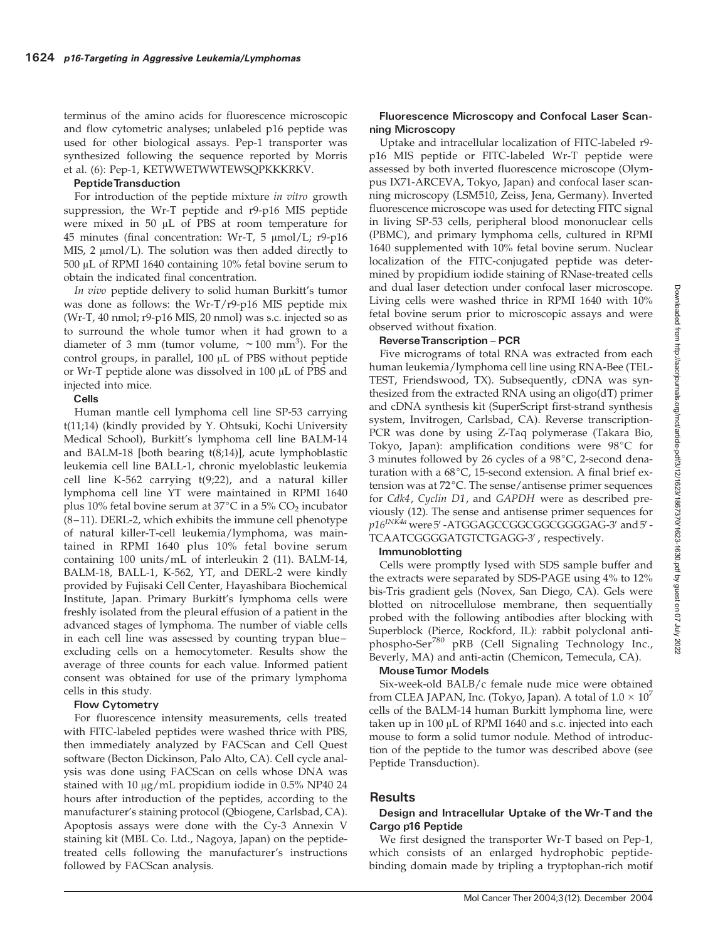terminus of the amino acids for fluorescence microscopic and flow cytometric analyses; unlabeled p16 peptide was used for other biological assays. Pep-1 transporter was synthesized following the sequence reported by Morris et al. (6): Pep-1, KETWWETWWTEWSQPKKKRKV.

#### PeptideTransduction

For introduction of the peptide mixture in vitro growth suppression, the Wr-T peptide and r9-p16 MIS peptide were mixed in 50  $\mu$ L of PBS at room temperature for 45 minutes (final concentration: Wr-T, 5  $\mu$ mol/L; r9-p16 MIS, 2  $\mu$ mol/L). The solution was then added directly to 500 AL of RPMI 1640 containing 10% fetal bovine serum to obtain the indicated final concentration.

In vivo peptide delivery to solid human Burkitt's tumor was done as follows: the Wr-T/r9-p16 MIS peptide mix (Wr-T, 40 nmol; r9-p16 MIS, 20 nmol) was s.c. injected so as to surround the whole tumor when it had grown to a diameter of 3 mm (tumor volume,  $\sim 100 \text{ mm}^3$ ). For the control groups, in parallel,  $100 \mu L$  of PBS without peptide or Wr-T peptide alone was dissolved in  $100 \mu L$  of PBS and injected into mice.

### Cells

Human mantle cell lymphoma cell line SP-53 carrying t(11;14) (kindly provided by Y. Ohtsuki, Kochi University Medical School), Burkitt's lymphoma cell line BALM-14 and BALM-18 [both bearing t(8;14)], acute lymphoblastic leukemia cell line BALL-1, chronic myeloblastic leukemia cell line K-562 carrying t(9;22), and a natural killer lymphoma cell line YT were maintained in RPMI 1640 plus 10% fetal bovine serum at 37 $^{\circ}$ C in a 5% CO<sub>2</sub> incubator (8–11). DERL-2, which exhibits the immune cell phenotype of natural killer-T-cell leukemia/lymphoma, was maintained in RPMI 1640 plus 10% fetal bovine serum containing 100 units/mL of interleukin 2 (11). BALM-14, BALM-18, BALL-1, K-562, YT, and DERL-2 were kindly provided by Fujisaki Cell Center, Hayashibara Biochemical Institute, Japan. Primary Burkitt's lymphoma cells were freshly isolated from the pleural effusion of a patient in the advanced stages of lymphoma. The number of viable cells in each cell line was assessed by counting trypan blue– excluding cells on a hemocytometer. Results show the average of three counts for each value. Informed patient consent was obtained for use of the primary lymphoma cells in this study.

### Flow Cytometry

For fluorescence intensity measurements, cells treated with FITC-labeled peptides were washed thrice with PBS, then immediately analyzed by FACScan and Cell Quest software (Becton Dickinson, Palo Alto, CA). Cell cycle analysis was done using FACScan on cells whose DNA was stained with 10  $\mu$ g/mL propidium iodide in 0.5% NP40 24 hours after introduction of the peptides, according to the manufacturer's staining protocol (Qbiogene, Carlsbad, CA). Apoptosis assays were done with the Cy-3 Annexin V staining kit (MBL Co. Ltd., Nagoya, Japan) on the peptidetreated cells following the manufacturer's instructions followed by FACScan analysis.

### Fluorescence Microscopy and Confocal Laser Scanning Microscopy

Uptake and intracellular localization of FITC-labeled r9 p16 MIS peptide or FITC-labeled Wr-T peptide were assessed by both inverted fluorescence microscope (Olympus IX71-ARCEVA, Tokyo, Japan) and confocal laser scanning microscopy (LSM510, Zeiss, Jena, Germany). Inverted fluorescence microscope was used for detecting FITC signal in living SP-53 cells, peripheral blood mononuclear cells (PBMC), and primary lymphoma cells, cultured in RPMI 1640 supplemented with 10% fetal bovine serum. Nuclear localization of the FITC-conjugated peptide was determined by propidium iodide staining of RNase-treated cells and dual laser detection under confocal laser microscope. Living cells were washed thrice in RPMI 1640 with 10% fetal bovine serum prior to microscopic assays and were observed without fixation.

# Reverse Transcription - PCR

Five micrograms of total RNA was extracted from each human leukemia/lymphoma cell line using RNA-Bee (TEL-TEST, Friendswood, TX). Subsequently, cDNA was synthesized from the extracted RNA using an oligo(dT) primer and cDNA synthesis kit (SuperScript first-strand synthesis system, Invitrogen, Carlsbad, CA). Reverse transcription-PCR was done by using Z-Taq polymerase (Takara Bio, Tokyo, Japan): amplification conditions were  $98^{\circ}C$  for 3 minutes followed by 26 cycles of a  $98^{\circ}C$ , 2-second denaturation with a  $68^{\circ}$ C, 15-second extension. A final brief extension was at  $72^{\circ}$ C. The sense/antisense primer sequences for Cdk4, Cyclin D1, and GAPDH were as described previously (12). The sense and antisense primer sequences for  $p16^{INK4a}$  were  $5'$ -ATGGAGCCGGCGGCGGGGAG-3' and  $5'$ -TCAATCGGGGATGTCTGAGG-3', respectively.

# Immunoblotting

Cells were promptly lysed with SDS sample buffer and the extracts were separated by SDS-PAGE using 4% to 12% bis-Tris gradient gels (Novex, San Diego, CA). Gels were blotted on nitrocellulose membrane, then sequentially probed with the following antibodies after blocking with Superblock (Pierce, Rockford, IL): rabbit polyclonal antiphospho-Ser<sup>780</sup> pRB (Cell Signaling Technology Inc., Beverly, MA) and anti-actin (Chemicon, Temecula, CA).

#### MouseTumor Models

Six-week-old BALB/c female nude mice were obtained from CLEA JAPAN, Inc. (Tokyo, Japan). A total of  $1.0 \times 10^7$ cells of the BALM-14 human Burkitt lymphoma line, were taken up in  $100 \mu L$  of RPMI 1640 and s.c. injected into each mouse to form a solid tumor nodule. Method of introduction of the peptide to the tumor was described above (see Peptide Transduction).

# Results

# Design and Intracellular Uptake of the Wr-T and the Cargo p16 Peptide

We first designed the transporter Wr-T based on Pep-1, which consists of an enlarged hydrophobic peptidebinding domain made by tripling a tryptophan-rich motif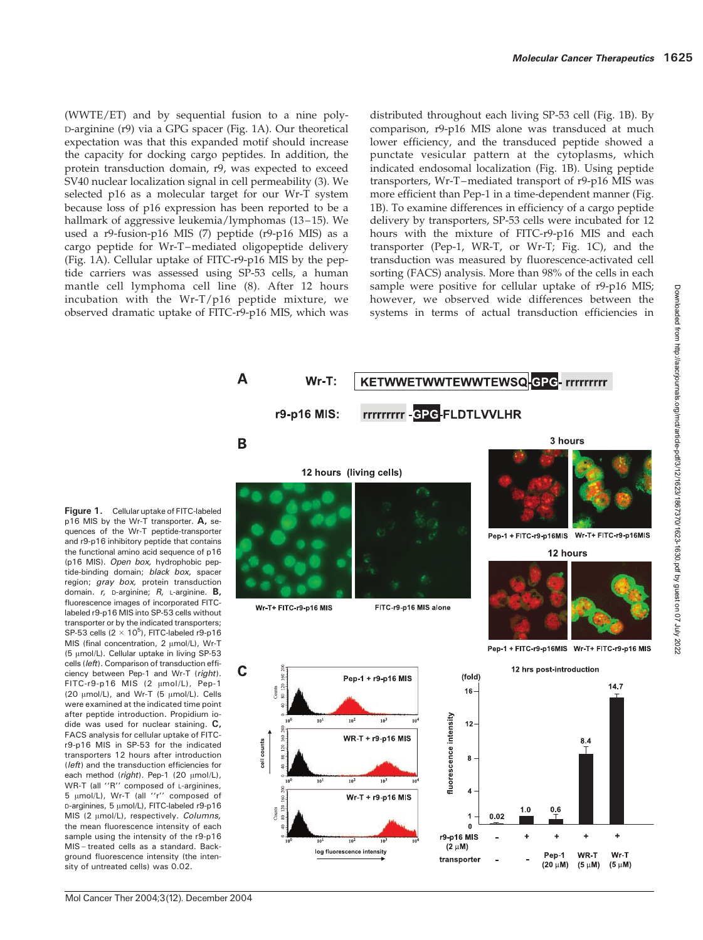Downloaded from http://aacrjournals.org/mct/article-pdf/3/12/1623/1867370/1623-1630.pdf by guest on 07 July 2022 Downloaded from http://aacrjournals.org/mct/article-pdf/3/12/1623/1867370/1623-1630.pdf by guest on 07 July 2022

(WWTE/ET) and by sequential fusion to a nine poly-D-arginine (r9) via a GPG spacer (Fig. 1A). Our theoretical expectation was that this expanded motif should increase the capacity for docking cargo peptides. In addition, the protein transduction domain, r9, was expected to exceed SV40 nuclear localization signal in cell permeability (3). We selected p16 as a molecular target for our Wr-T system because loss of p16 expression has been reported to be a hallmark of aggressive leukemia/lymphomas (13-15). We used a r9-fusion-p16 MIS (7) peptide (r9-p16 MIS) as a cargo peptide for Wr-T–mediated oligopeptide delivery (Fig. 1A). Cellular uptake of FITC-r9-p16 MIS by the peptide carriers was assessed using SP-53 cells, a human mantle cell lymphoma cell line (8). After 12 hours incubation with the Wr-T/p16 peptide mixture, we observed dramatic uptake of FITC-r9-p16 MIS, which was distributed throughout each living SP-53 cell (Fig. 1B). By comparison, r9-p16 MIS alone was transduced at much lower efficiency, and the transduced peptide showed a punctate vesicular pattern at the cytoplasms, which indicated endosomal localization (Fig. 1B). Using peptide transporters, Wr-T–mediated transport of r9-p16 MIS was more efficient than Pep-1 in a time-dependent manner (Fig. 1B). To examine differences in efficiency of a cargo peptide delivery by transporters, SP-53 cells were incubated for 12 hours with the mixture of FITC-r9-p16 MIS and each transporter (Pep-1, WR-T, or Wr-T; Fig. 1C), and the transduction was measured by fluorescence-activated cell sorting (FACS) analysis. More than 98% of the cells in each sample were positive for cellular uptake of r9-p16 MIS; however, we observed wide differences between the systems in terms of actual transduction efficiencies in



Figure 1. Cellular uptake of FITC-labeled p16 MIS by the Wr-T transporter. A, sequences of the Wr-T peptide-transporter and r9-p16 inhibitory peptide that contains the functional amino acid sequence of p16 (p16 MIS). Open box, hydrophobic peptide-binding domain; black box, spacer region; gray box, protein transduction domain. r, D-arginine; R, L-arginine. B, fluorescence images of incorporated FITClabeled r9-p16 MIS into SP-53 cells without transporter or by the indicated transporters; SP-53 cells ( $2 \times 10^5$ ), FITC-labeled r9-p16 MIS (final concentration,  $2 \mu mol/L$ ), Wr-T (5 μmol/L). Cellular uptake in living SP-53 cells (left). Comparison of transduction efficiency between Pep-1 and Wr-T (right). FITC-r9-p16 MIS (2 µmol/L), Pep-1 (20  $\mu$ mol/L), and Wr-T (5  $\mu$ mol/L). Cells were examined at the indicated time point after peptide introduction. Propidium iodide was used for nuclear staining. C, FACS analysis for cellular uptake of FITCr9-p16 MIS in SP-53 for the indicated transporters 12 hours after introduction (*left*) and the transduction efficiencies for each method (right). Pep-1 (20  $\mu$ mol/L), WR-T (all "R" composed of L-arginines, 5 μmol/L), Wr-T (all "r" composed of D-arginines, 5  $\mu$ mol/L), FITC-labeled r9-p16 MIS (2  $\mu$ mol/L), respectively. Columns, the mean fluorescence intensity of each sample using the intensity of the r9-p16 MIS – treated cells as a standard. Background fluorescence intensity (the intensity of untreated cells) was 0.02.

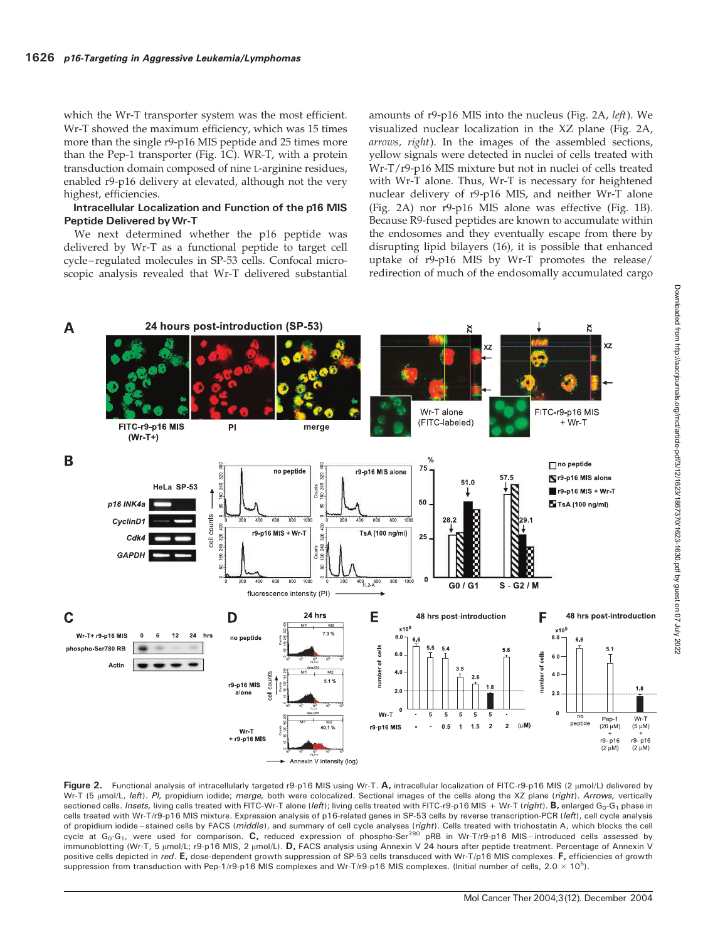which the Wr-T transporter system was the most efficient. Wr-T showed the maximum efficiency, which was 15 times more than the single r9-p16 MIS peptide and 25 times more than the Pep-1 transporter (Fig. 1C). WR-T, with a protein transduction domain composed of nine L-arginine residues, enabled r9-p16 delivery at elevated, although not the very highest, efficiencies.

## Intracellular Localization and Function of the p16 MIS Peptide Delivered byWr-T

We next determined whether the p16 peptide was delivered by Wr-T as a functional peptide to target cell cycle–regulated molecules in SP-53 cells. Confocal microscopic analysis revealed that Wr-T delivered substantial amounts of r9-p16 MIS into the nucleus (Fig. 2A, left). We visualized nuclear localization in the XZ plane (Fig. 2A, arrows, right). In the images of the assembled sections, yellow signals were detected in nuclei of cells treated with Wr-T/r9-p16 MIS mixture but not in nuclei of cells treated with Wr-T alone. Thus, Wr-T is necessary for heightened nuclear delivery of r9-p16 MIS, and neither Wr-T alone (Fig. 2A) nor r9-p16 MIS alone was effective (Fig. 1B). Because R9-fused peptides are known to accumulate within the endosomes and they eventually escape from there by disrupting lipid bilayers (16), it is possible that enhanced uptake of r9-p16 MIS by Wr-T promotes the release/ redirection of much of the endosomally accumulated cargo





Figure 2. Functional analysis of intracellularly targeted r9-p16 MIS using Wr-T. A, intracellular localization of FITC-r9-p16 MIS (2 µmol/L) delivered by Wr-T (5 µmol/L, left). Pl, propidium iodide; merge, both were colocalized. Sectional images of the cells along the XZ plane (right). Arrows, vertically sectioned cells. *Insets*, living cells treated with FITC-Wr-T alone (left); living cells treated with FITC-r9-p16 MIS + Wr-T (right). **B**, enlarged  $G_0$ -G<sub>1</sub> phase in cells treated with Wr-T/r9-p16 MIS mixture. Expression analysis of p16-related genes in SP-53 cells by reverse transcription-PCR (left), cell cycle analysis of propidium iodide–stained cells by FACS (*middle*), and summary of cell cycle analyses (*right*). Cells treated with trichostatin A, which blocks the cell<br>cycle at G<sub>o</sub>-G<sub>1</sub>, were used for comparison. **C,** reduce immunoblotting (Wr-T, 5 µmol/L; r9-p16 MIS, 2 µmol/L). **D**, FACS analysis using Annexin V 24 hours after peptide treatment. Percentage of Annexin V positive cells depicted in red. E, dose-dependent growth suppression of SP-53 cells transduced with Wr-T/p16 MIS complexes. F, efficiencies of growth suppression from transduction with Pep-1/r9-p16 MIS complexes and Wr-T/r9-p16 MIS complexes. (Initial number of cells,  $2.0 \times 10^5$ ).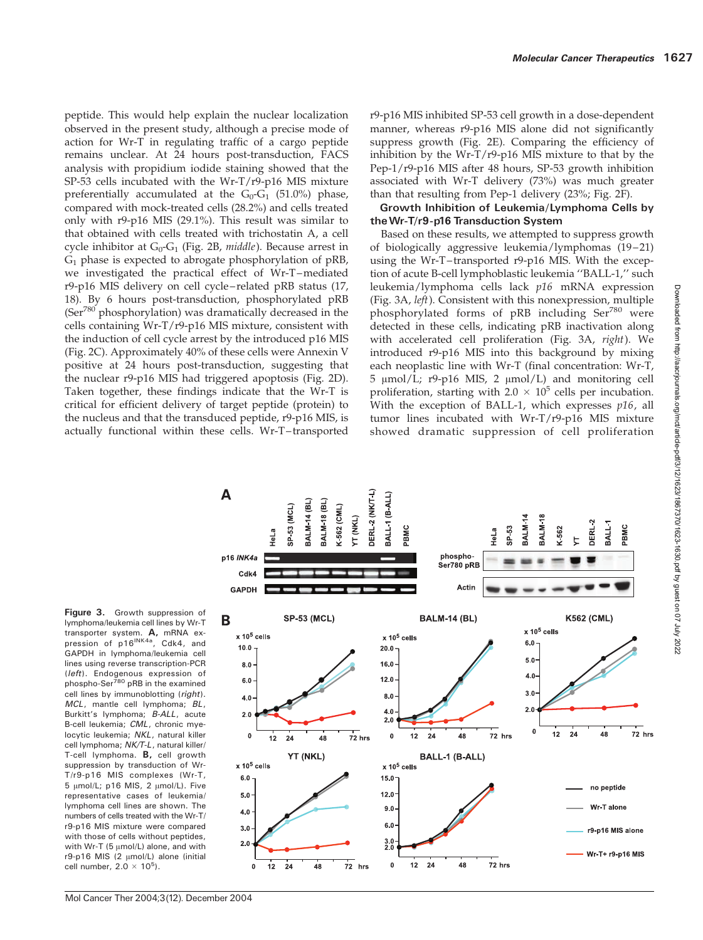peptide. This would help explain the nuclear localization observed in the present study, although a precise mode of action for Wr-T in regulating traffic of a cargo peptide remains unclear. At 24 hours post-transduction, FACS analysis with propidium iodide staining showed that the SP-53 cells incubated with the Wr-T/r9-p16 MIS mixture preferentially accumulated at the  $G_0-G_1$  (51.0%) phase, compared with mock-treated cells (28.2%) and cells treated only with r9-p16 MIS (29.1%). This result was similar to that obtained with cells treated with trichostatin A, a cell cycle inhibitor at  $G_0-G_1$  (Fig. 2B, middle). Because arrest in  $G_1$  phase is expected to abrogate phosphorylation of pRB, we investigated the practical effect of Wr-T–mediated r9-p16 MIS delivery on cell cycle–related pRB status (17, 18). By 6 hours post-transduction, phosphorylated pRB (Ser780 phosphorylation) was dramatically decreased in the cells containing Wr-T/r9-p16 MIS mixture, consistent with the induction of cell cycle arrest by the introduced p16 MIS (Fig. 2C). Approximately 40% of these cells were Annexin V positive at 24 hours post-transduction, suggesting that the nuclear r9-p16 MIS had triggered apoptosis (Fig. 2D). Taken together, these findings indicate that the Wr-T is critical for efficient delivery of target peptide (protein) to the nucleus and that the transduced peptide, r9-p16 MIS, is actually functional within these cells. Wr-T–transported

r9-p16 MIS inhibited SP-53 cell growth in a dose-dependent manner, whereas r9-p16 MIS alone did not significantly suppress growth (Fig. 2E). Comparing the efficiency of inhibition by the Wr-T/r9-p16 MIS mixture to that by the Pep-1/r9-p16 MIS after 48 hours, SP-53 growth inhibition associated with Wr-T delivery (73%) was much greater than that resulting from Pep-1 delivery (23%; Fig. 2F).

### Growth Inhibition of Leukemia/Lymphoma Cells by theWr-T/r9-p16 Transduction System

Based on these results, we attempted to suppress growth of biologically aggressive leukemia/lymphomas (19–21) using the Wr-T–transported r9-p16 MIS. With the exception of acute B-cell lymphoblastic leukemia ''BALL-1,'' such leukemia/lymphoma cells lack p16 mRNA expression (Fig. 3A, left). Consistent with this nonexpression, multiple phosphorylated forms of pRB including Ser<sup>780</sup> were detected in these cells, indicating pRB inactivation along with accelerated cell proliferation (Fig. 3A, right). We introduced r9-p16 MIS into this background by mixing each neoplastic line with Wr-T (final concentration: Wr-T, 5 μmol/L; r9-p16 MIS, 2 μmol/L) and monitoring cell proliferation, starting with  $2.0 \times 10^5$  cells per incubation. With the exception of BALL-1, which expresses  $p16$ , all tumor lines incubated with Wr-T/r9-p16 MIS mixture showed dramatic suppression of cell proliferation

Figure 3. Growth suppression of lymphoma/leukemia cell lines by Wr-T transporter system. A, mRNA expression of p16<sup>INK4a</sup>, Cdk4, and GAPDH in lymphoma/leukemia cell lines using reverse transcription-PCR (left). Endogenous expression of phospho-Ser<sup>780</sup> pRB in the examined cell lines by immunoblotting (right). MCL, mantle cell lymphoma; BL, Burkitt's lymphoma; B-ALL, acute B-cell leukemia; CML, chronic myelocytic leukemia; NKL, natural killer cell lymphoma; NK/T-L, natural killer/ T-cell lymphoma. B, cell growth suppression by transduction of Wr-T/r9-p16 MIS complexes (Wr-T,  $5 \mu$ mol/L; p16 MIS, 2  $\mu$ mol/L). Five representative cases of leukemia/ lymphoma cell lines are shown. The numbers of cells treated with the Wr-T/ r9-p16 MIS mixture were compared with those of cells without peptides, with Wr-T ( $5 \mu$ mol/L) alone, and with  $r9-p16$  MIS (2  $\mu$ mol/L) alone (initial cell number,  $2.0 \times 10^5$ ).

A **DERL-2 (NK/T-L)** BALL-1 (B-ALL) BALM-18 (BL) BALM-14 (BL K-562 (CML) SP-53 (MCL) YT (NKL) BALM-14 BALM-18 DERL-2 BALL-1 SP-53 PBMC PBMC  $(-562$ HeLa HeLa phosphop16 INK4a Ser780 pRE Cdk4 **GAPDH** Actin **K562 (CML) SP-53 (MCL) BALM-14 (BL)** В  $x 10^5$  cells  $\times$  10<sup>5</sup> cells  $\times$  10<sup>5</sup> cells  $6.0$  $10.0$  $20.0$  $5.0$  $8.0$ 16.0  $4.0 12.0$  $6.0$  $3.0$  $8.0$  $4.0$  $2.0$  $4.0$  $2.0$  $2.0$ 0  $\overline{12}$  $\overline{24}$  $48$  $72$  hrs  $\mathbf{0}$  $\mathbf{0}$  $12$  $24$ 48 72 hrs  $\overline{12}$  $72$  hrs  $24$ 48 YT (NKL) BALL-1 (B-ALL)  $x 10^5$  cells  $x 10^5$  cells  $6.0$  $15.0$ no peptide  $5.0$  $12.0$ Wr-T alone  $9.0$  $4.0$  $6.0$  $3.0$ r9-p16 MIS alone  $\frac{3.0}{2.0}$  $2.0$ Wr-T+ r9-p16 MIS  $\mathbf 0$  $12$  $24$ 48 72 hrs  $12$  $\dot{24}$  $\overline{48}$  $72$  hrs  $\mathbf 0$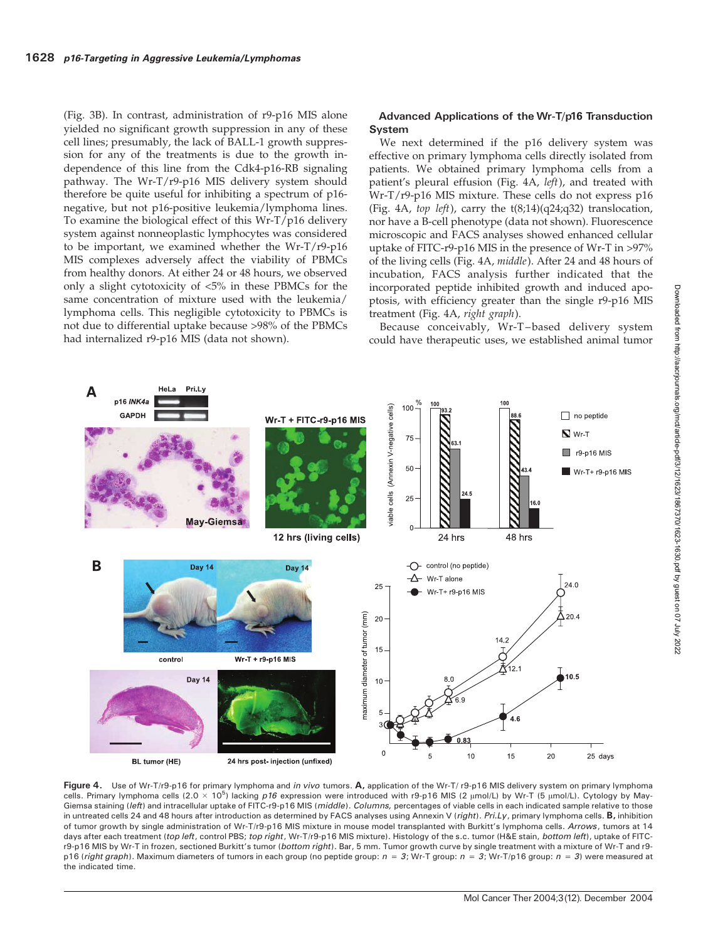(Fig. 3B). In contrast, administration of r9-p16 MIS alone yielded no significant growth suppression in any of these cell lines; presumably, the lack of BALL-1 growth suppression for any of the treatments is due to the growth independence of this line from the Cdk4-p16-RB signaling pathway. The Wr-T/r9-p16 MIS delivery system should therefore be quite useful for inhibiting a spectrum of p16 negative, but not p16-positive leukemia/lymphoma lines. To examine the biological effect of this Wr-T/p16 delivery system against nonneoplastic lymphocytes was considered to be important, we examined whether the Wr-T/r9-p16 MIS complexes adversely affect the viability of PBMCs from healthy donors. At either 24 or 48 hours, we observed only a slight cytotoxicity of <5% in these PBMCs for the same concentration of mixture used with the leukemia/ lymphoma cells. This negligible cytotoxicity to PBMCs is not due to differential uptake because >98% of the PBMCs had internalized r9-p16 MIS (data not shown).

#### Advanced Applications of the Wr-T/p16 Transduction System

We next determined if the p16 delivery system was effective on primary lymphoma cells directly isolated from patients. We obtained primary lymphoma cells from a patient's pleural effusion (Fig. 4A, left), and treated with Wr-T/r9-p16 MIS mixture. These cells do not express p16 (Fig. 4A, top left), carry the  $t(8,14)(q24;q32)$  translocation, nor have a B-cell phenotype (data not shown). Fluorescence microscopic and FACS analyses showed enhanced cellular uptake of FITC-r9-p16 MIS in the presence of Wr-T in >97% of the living cells (Fig. 4A, middle). After 24 and 48 hours of incubation, FACS analysis further indicated that the incorporated peptide inhibited growth and induced apoptosis, with efficiency greater than the single r9-p16 MIS treatment (Fig. 4A, right graph).

Because conceivably, Wr-T–based delivery system could have therapeutic uses, we established animal tumor



Figure 4. Use of Wr-T/r9-p16 for primary lymphoma and in vivo tumors. A, application of the Wr-T/ r9-p16 MIS delivery system on primary lymphoma cells. Primary lymphoma cells (2.0 × 10<sup>5</sup>) lacking p16 expression were introduced with r9-p16 MIS (2 µmol/L) by Wr-T (5 µmol/L). Cytology by May-Giemsa staining (left) and intracellular uptake of FITC-r9-p16 MIS (middle). Columns, percentages of viable cells in each indicated sample relative to those in untreated cells 24 and 48 hours after introduction as determined by FACS analyses using Annexin V (right). Pri.Ly, primary lymphoma cells. B, inhibition of tumor growth by single administration of Wr-T/r9-p16 MIS mixture in mouse model transplanted with Burkitt's lymphoma cells. Arrows, tumors at 14 days after each treatment (top left, control PBS; top right, Wr-T/r9-p16 MIS mixture). Histology of the s.c. tumor (H&E stain, bottom left), uptake of FITCr9-p16 MIS by Wr-T in frozen, sectioned Burkitt's tumor (bottom right). Bar, 5 mm. Tumor growth curve by single treatment with a mixture of Wr-T and r9p16 (right graph). Maximum diameters of tumors in each group (no peptide group:  $n = 3$ ; Wr-T group:  $n = 3$ ; Wr-T/p16 group:  $n = 3$ ) were measured at the indicated time.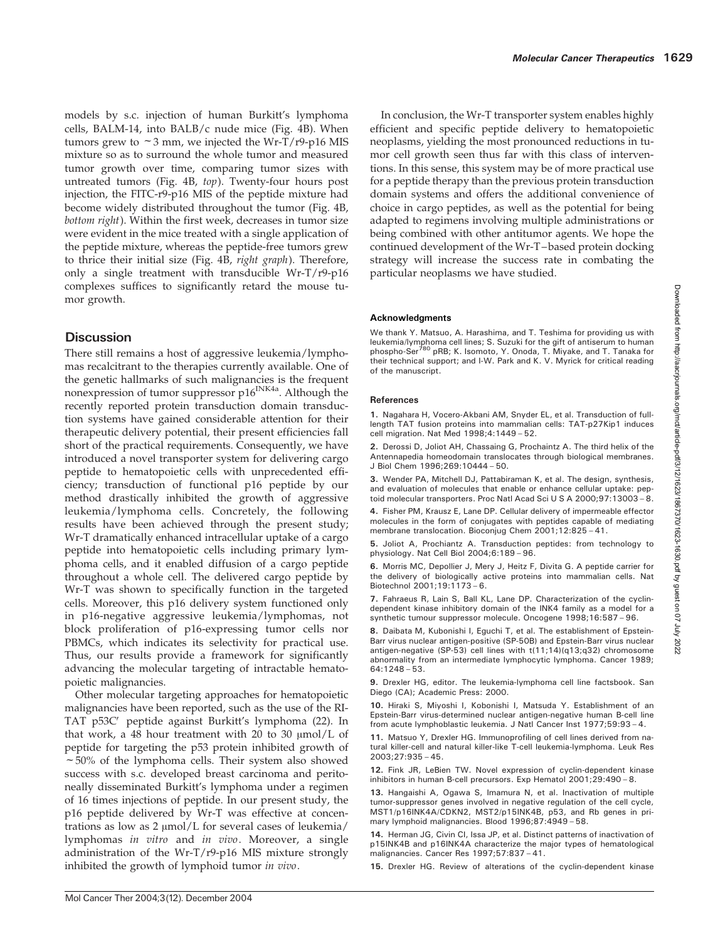models by s.c. injection of human Burkitt's lymphoma cells, BALM-14, into BALB/c nude mice (Fig. 4B). When tumors grew to  $\sim$  3 mm, we injected the Wr-T/r9-p16 MIS mixture so as to surround the whole tumor and measured tumor growth over time, comparing tumor sizes with untreated tumors (Fig. 4B, top). Twenty-four hours post injection, the FITC-r9-p16 MIS of the peptide mixture had become widely distributed throughout the tumor (Fig. 4B, bottom right). Within the first week, decreases in tumor size were evident in the mice treated with a single application of the peptide mixture, whereas the peptide-free tumors grew to thrice their initial size (Fig. 4B, right graph). Therefore, only a single treatment with transducible Wr-T/r9-p16 complexes suffices to significantly retard the mouse tumor growth.

# Discussion

There still remains a host of aggressive leukemia/lymphomas recalcitrant to the therapies currently available. One of the genetic hallmarks of such malignancies is the frequent nonexpression of tumor suppressor p16<sup>INK4a</sup>. Although the recently reported protein transduction domain transduction systems have gained considerable attention for their therapeutic delivery potential, their present efficiencies fall short of the practical requirements. Consequently, we have introduced a novel transporter system for delivering cargo peptide to hematopoietic cells with unprecedented efficiency; transduction of functional p16 peptide by our method drastically inhibited the growth of aggressive leukemia/lymphoma cells. Concretely, the following results have been achieved through the present study; Wr-T dramatically enhanced intracellular uptake of a cargo peptide into hematopoietic cells including primary lymphoma cells, and it enabled diffusion of a cargo peptide throughout a whole cell. The delivered cargo peptide by Wr-T was shown to specifically function in the targeted cells. Moreover, this p16 delivery system functioned only in p16-negative aggressive leukemia/lymphomas, not block proliferation of p16-expressing tumor cells nor PBMCs, which indicates its selectivity for practical use. Thus, our results provide a framework for significantly advancing the molecular targeting of intractable hematopoietic malignancies.

Other molecular targeting approaches for hematopoietic malignancies have been reported, such as the use of the RI-TAT p53C' peptide against Burkitt's lymphoma (22). In that work, a 48 hour treatment with 20 to 30  $\mu$ mol/L of peptide for targeting the p53 protein inhibited growth of  $\sim$  50% of the lymphoma cells. Their system also showed success with s.c. developed breast carcinoma and peritoneally disseminated Burkitt's lymphoma under a regimen of 16 times injections of peptide. In our present study, the p16 peptide delivered by Wr-T was effective at concentrations as low as  $2 \mu \text{mol/L}$  for several cases of leukemia/ lymphomas in vitro and in vivo. Moreover, a single administration of the Wr-T/r9-p16 MIS mixture strongly inhibited the growth of lymphoid tumor in vivo.

In conclusion, the Wr-T transporter system enables highly efficient and specific peptide delivery to hematopoietic neoplasms, yielding the most pronounced reductions in tumor cell growth seen thus far with this class of interventions. In this sense, this system may be of more practical use for a peptide therapy than the previous protein transduction domain systems and offers the additional convenience of choice in cargo peptides, as well as the potential for being adapted to regimens involving multiple administrations or being combined with other antitumor agents. We hope the continued development of the Wr-T–based protein docking strategy will increase the success rate in combating the particular neoplasms we have studied.

# Acknowledgments

We thank Y. Matsuo, A. Harashima, and T. Teshima for providing us with leukemia/lymphoma cell lines; S. Suzuki for the gift of antiserum to human phospho-Ser<sup>780</sup> pRB; K. Isomoto, Y. Onoda, T. Miyake, and T. Tanaka for<br>their technical support; and I-W. Park and K. V. Myrick for critical reading of the manuscript.

### References

1. Nagahara H, Vocero-Akbani AM, Snyder EL, et al. Transduction of fulllength TAT fusion proteins into mammalian cells: TAT-p27Kip1 induces cell migration. Nat Med 1998;4:1449 – 52.

2. Derossi D, Joliot AH, Chassaing G, Prochaintz A. The third helix of the Antennapedia homeodomain translocates through biological membranes. J Biol Chem 1996;269:10444 – 50.

3. Wender PA, Mitchell DJ, Pattabiraman K, et al. The design, synthesis, and evaluation of molecules that enable or enhance cellular uptake: peptoid molecular transporters. Proc Natl Acad Sci U S A 2000;97:13003 – 8.

4. Fisher PM, Krausz E, Lane DP. Cellular delivery of impermeable effector molecules in the form of conjugates with peptides capable of mediating membrane translocation. Bioconjug Chem 2001;12:825 – 41.

5. Joliot A, Prochiantz A. Transduction peptides: from technology to physiology. Nat Cell Biol 2004;6:189 – 96.

6. Morris MC, Depollier J, Mery J, Heitz F, Divita G. A peptide carrier for the delivery of biologically active proteins into mammalian cells. Nat Biotechnol 2001;19:1173 – 6.

7. Fahraeus R, Lain S, Ball KL, Lane DP. Characterization of the cyclindependent kinase inhibitory domain of the INK4 family as a model for a synthetic tumour suppressor molecule. Oncogene 1998;16:587 – 96.

8. Daibata M, Kubonishi I, Eguchi T, et al. The establishment of Epstein-Barr virus nuclear antigen-positive (SP-50B) and Epstein-Barr virus nuclear antigen-negative (SP-53) cell lines with t(11;14)(q13;q32) chromosome abnormality from an intermediate lymphocytic lymphoma. Cancer 1989; 64:1248 – 53.

9. Drexler HG, editor. The leukemia-lymphoma cell line factsbook. San Diego (CA); Academic Press: 2000.

10. Hiraki S, Miyoshi I, Kobonishi I, Matsuda Y. Establishment of an Epstein-Barr virus-determined nuclear antigen-negative human B-cell line from acute lymphoblastic leukemia. J Natl Cancer Inst 1977;59:93 – 4.

11. Matsuo Y, Drexler HG. Immunoprofiling of cell lines derived from natural killer-cell and natural killer-like T-cell leukemia-lymphoma. Leuk Res 2003;27:935 – 45.

12. Fink JR, LeBien TW. Novel expression of cyclin-dependent kinase inhibitors in human B-cell precursors. Exp Hematol 2001;29:490 – 8.

13. Hangaishi A, Ogawa S, Imamura N, et al. Inactivation of multiple tumor-suppressor genes involved in negative regulation of the cell cycle, MST1/p16INK4A/CDKN2, MST2/p15INK4B, p53, and Rb genes in primary lymphoid malignancies. Blood 1996;87:4949 – 58.

14. Herman JG, Civin CI, Issa JP, et al. Distinct patterns of inactivation of p15INK4B and p16INK4A characterize the major types of hematological malignancies. Cancer Res 1997;57:837 – 41.

15. Drexler HG. Review of alterations of the cyclin-dependent kinase